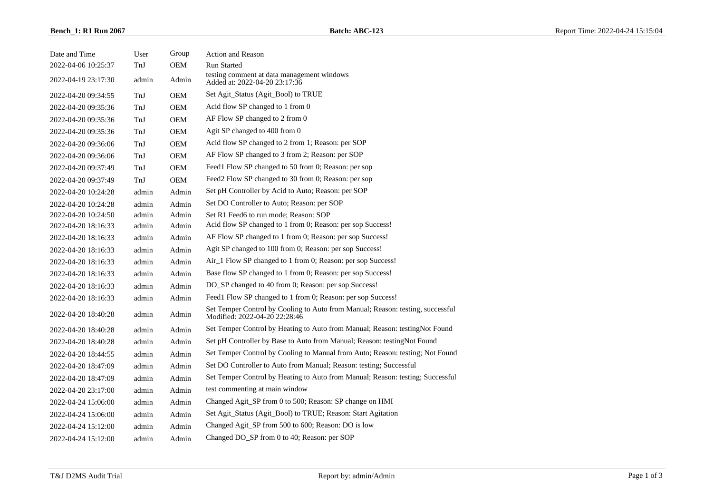| Date and Time       | User  | Group      | <b>Action and Reason</b>                                                                                        |
|---------------------|-------|------------|-----------------------------------------------------------------------------------------------------------------|
| 2022-04-06 10:25:37 | TnJ   | <b>OEM</b> | <b>Run Started</b>                                                                                              |
| 2022-04-19 23:17:30 | admin | Admin      | testing comment at data management windows<br>Added at: 2022-04-20 23:17:36                                     |
| 2022-04-20 09:34:55 | TnJ   | <b>OEM</b> | Set Agit_Status (Agit_Bool) to TRUE                                                                             |
| 2022-04-20 09:35:36 | TnJ   | <b>OEM</b> | Acid flow SP changed to 1 from 0                                                                                |
| 2022-04-20 09:35:36 | TnJ   | <b>OEM</b> | AF Flow SP changed to 2 from 0                                                                                  |
| 2022-04-20 09:35:36 | TnJ   | <b>OEM</b> | Agit SP changed to 400 from 0                                                                                   |
| 2022-04-20 09:36:06 | TnJ   | OEM        | Acid flow SP changed to 2 from 1; Reason: per SOP                                                               |
| 2022-04-20 09:36:06 | TnJ   | OEM        | AF Flow SP changed to 3 from 2; Reason: per SOP                                                                 |
| 2022-04-20 09:37:49 | TnJ   | <b>OEM</b> | Feed1 Flow SP changed to 50 from 0; Reason: per sop                                                             |
| 2022-04-20 09:37:49 | TnJ   | <b>OEM</b> | Feed2 Flow SP changed to 30 from 0; Reason: per sop                                                             |
| 2022-04-20 10:24:28 | admin | Admin      | Set pH Controller by Acid to Auto; Reason: per SOP                                                              |
| 2022-04-20 10:24:28 | admin | Admin      | Set DO Controller to Auto; Reason: per SOP                                                                      |
| 2022-04-20 10:24:50 | admin | Admin      | Set R1 Feed6 to run mode; Reason: SOP                                                                           |
| 2022-04-20 18:16:33 | admin | Admin      | Acid flow SP changed to 1 from 0; Reason: per sop Success!                                                      |
| 2022-04-20 18:16:33 | admin | Admin      | AF Flow SP changed to 1 from 0; Reason: per sop Success!                                                        |
| 2022-04-20 18:16:33 | admin | Admin      | Agit SP changed to 100 from 0; Reason: per sop Success!                                                         |
| 2022-04-20 18:16:33 | admin | Admin      | Air_1 Flow SP changed to 1 from 0; Reason: per sop Success!                                                     |
| 2022-04-20 18:16:33 | admin | Admin      | Base flow SP changed to 1 from 0; Reason: per sop Success!                                                      |
| 2022-04-20 18:16:33 | admin | Admin      | DO_SP changed to 40 from 0; Reason: per sop Success!                                                            |
| 2022-04-20 18:16:33 | admin | Admin      | Feed1 Flow SP changed to 1 from 0; Reason: per sop Success!                                                     |
| 2022-04-20 18:40:28 | admin | Admin      | Set Temper Control by Cooling to Auto from Manual; Reason: testing, successful<br>Modified: 2022-04-20 22:28:46 |
| 2022-04-20 18:40:28 | admin | Admin      | Set Temper Control by Heating to Auto from Manual; Reason: testingNot Found                                     |
| 2022-04-20 18:40:28 | admin | Admin      | Set pH Controller by Base to Auto from Manual; Reason: testingNot Found                                         |
| 2022-04-20 18:44:55 | admin | Admin      | Set Temper Control by Cooling to Manual from Auto; Reason: testing; Not Found                                   |
| 2022-04-20 18:47:09 | admin | Admin      | Set DO Controller to Auto from Manual; Reason: testing; Successful                                              |
| 2022-04-20 18:47:09 | admin | Admin      | Set Temper Control by Heating to Auto from Manual; Reason: testing; Successful                                  |
| 2022-04-20 23:17:00 | admin | Admin      | test commenting at main window                                                                                  |
| 2022-04-24 15:06:00 | admin | Admin      | Changed Agit_SP from 0 to 500; Reason: SP change on HMI                                                         |
| 2022-04-24 15:06:00 | admin | Admin      | Set Agit_Status (Agit_Bool) to TRUE; Reason: Start Agitation                                                    |
| 2022-04-24 15:12:00 | admin | Admin      | Changed Agit_SP from 500 to 600; Reason: DO is low                                                              |
| 2022-04-24 15:12:00 | admin | Admin      | Changed DO_SP from 0 to 40; Reason: per SOP                                                                     |
|                     |       |            |                                                                                                                 |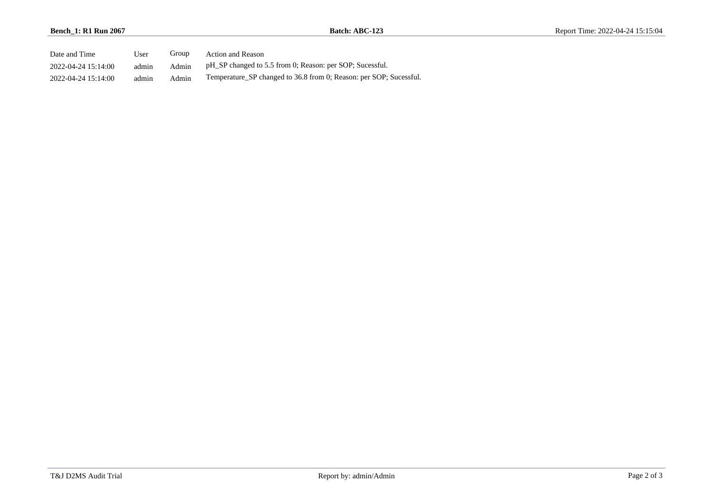| Date and Time       | User  | Group | <b>Action and Reason</b>                                           |
|---------------------|-------|-------|--------------------------------------------------------------------|
| 2022-04-24 15:14:00 | admin | Admin | pH SP changed to 5.5 from 0; Reason: per SOP; Sucessful.           |
| 2022-04-24 15:14:00 | admin | Admin | Temperature SP changed to 36.8 from 0; Reason: per SOP; Sucessful. |